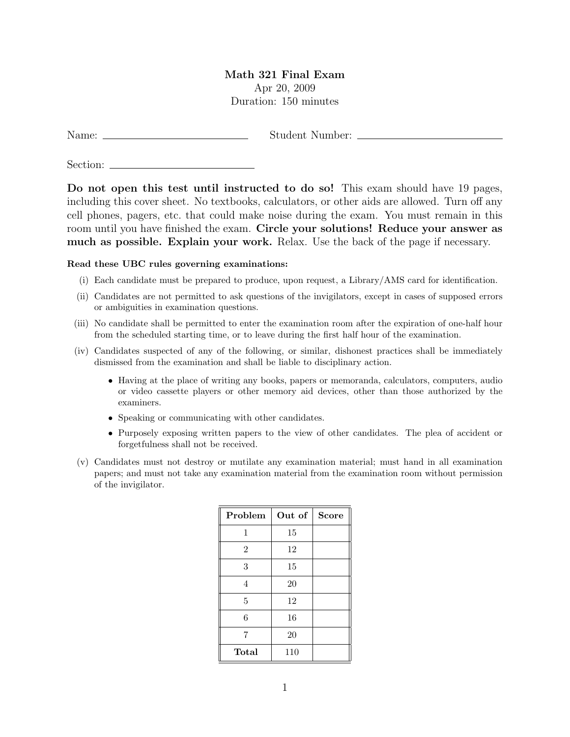### Math 321 Final Exam Apr 20, 2009

Duration: 150 minutes

| ٦T<br>1 N      |  |
|----------------|--|
| $\ddotsc$<br>- |  |

udent Number: <sub>–</sub>

Section:  $\overline{\phantom{a}}$ 

Do not open this test until instructed to do so! This exam should have 19 pages, including this cover sheet. No textbooks, calculators, or other aids are allowed. Turn off any cell phones, pagers, etc. that could make noise during the exam. You must remain in this room until you have finished the exam. Circle your solutions! Reduce your answer as much as possible. Explain your work. Relax. Use the back of the page if necessary.

### Read these UBC rules governing examinations:

- (i) Each candidate must be prepared to produce, upon request, a Library/AMS card for identification.
- (ii) Candidates are not permitted to ask questions of the invigilators, except in cases of supposed errors or ambiguities in examination questions.
- (iii) No candidate shall be permitted to enter the examination room after the expiration of one-half hour from the scheduled starting time, or to leave during the first half hour of the examination.
- (iv) Candidates suspected of any of the following, or similar, dishonest practices shall be immediately dismissed from the examination and shall be liable to disciplinary action.
	- Having at the place of writing any books, papers or memoranda, calculators, computers, audio or video cassette players or other memory aid devices, other than those authorized by the examiners.
	- Speaking or communicating with other candidates.
	- Purposely exposing written papers to the view of other candidates. The plea of accident or forgetfulness shall not be received.
- (v) Candidates must not destroy or mutilate any examination material; must hand in all examination papers; and must not take any examination material from the examination room without permission of the invigilator.

| Problem        | Out of | <b>Score</b> |
|----------------|--------|--------------|
| 1              | 15     |              |
| $\overline{2}$ | 12     |              |
| 3              | 15     |              |
| 4              | 20     |              |
| 5              | 12     |              |
| 6              | 16     |              |
| 7              | 20     |              |
| Total          | 110    |              |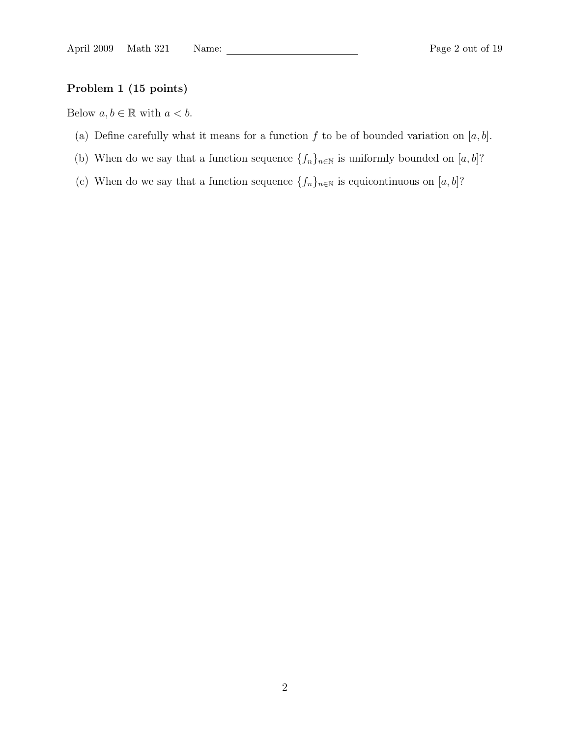# Problem 1 (15 points)

Below  $a, b \in \mathbb{R}$  with  $a < b$ .

- (a) Define carefully what it means for a function f to be of bounded variation on  $[a, b]$ .
- (b) When do we say that a function sequence  $\{f_n\}_{n\in\mathbb{N}}$  is uniformly bounded on  $[a, b]$ ?
- (c) When do we say that a function sequence  $\{f_n\}_{n\in\mathbb{N}}$  is equicontinuous on  $[a, b]$ ?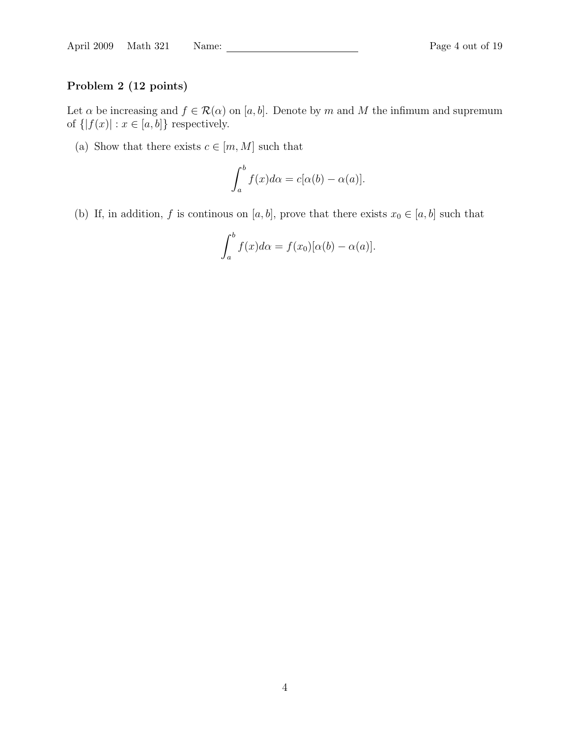# Problem 2 (12 points)

Let  $\alpha$  be increasing and  $f \in \mathcal{R}(\alpha)$  on [a, b]. Denote by m and M the infimum and supremum of  $\{ |f(x)| : x \in [a, b] \}$  respectively.

(a) Show that there exists  $c\in [m,M]$  such that

$$
\int_a^b f(x)d\alpha = c[\alpha(b) - \alpha(a)].
$$

(b) If, in addition, f is continuos on  $[a, b]$ , prove that there exists  $x_0 \in [a, b]$  such that

$$
\int_a^b f(x)d\alpha = f(x_0)[\alpha(b) - \alpha(a)].
$$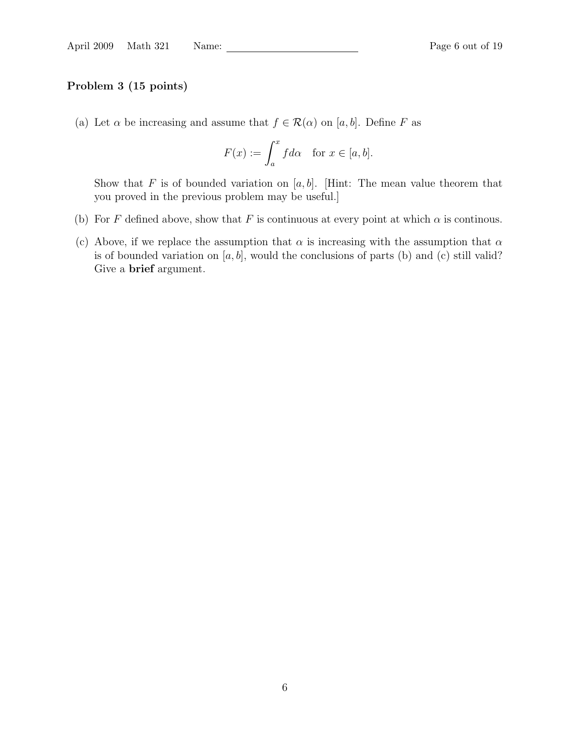#### Problem 3 (15 points)

(a) Let  $\alpha$  be increasing and assume that  $f \in \mathcal{R}(\alpha)$  on [a, b]. Define F as

$$
F(x) := \int_a^x f d\alpha \quad \text{for } x \in [a, b].
$$

Show that  $F$  is of bounded variation on  $[a, b]$ . [Hint: The mean value theorem that you proved in the previous problem may be useful.]

- (b) For F defined above, show that F is continuous at every point at which  $\alpha$  is continous.
- (c) Above, if we replace the assumption that  $\alpha$  is increasing with the assumption that  $\alpha$ is of bounded variation on  $[a, b]$ , would the conclusions of parts (b) and (c) still valid? Give a brief argument.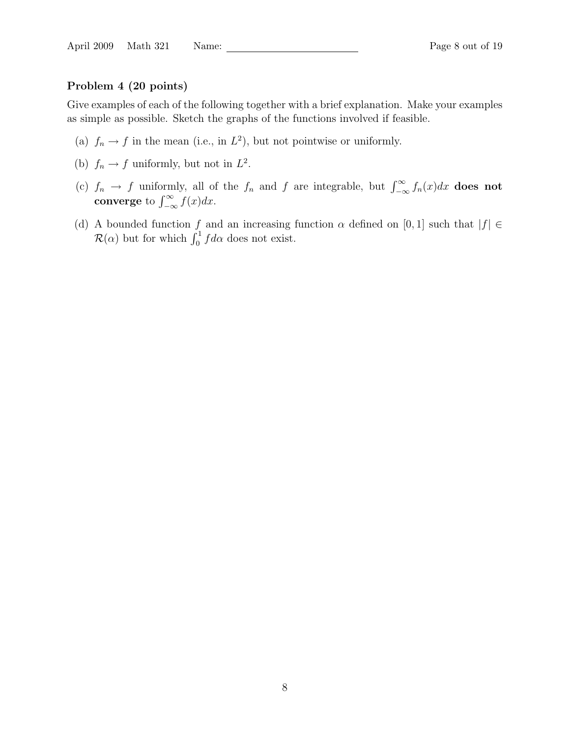### Problem 4 (20 points)

Give examples of each of the following together with a brief explanation. Make your examples as simple as possible. Sketch the graphs of the functions involved if feasible.

- (a)  $f_n \to f$  in the mean (i.e., in  $L^2$ ), but not pointwise or uniformly.
- (b)  $f_n \to f$  uniformly, but not in  $L^2$ .
- (c)  $f_n \to f$  uniformly, all of the  $f_n$  and  $f$  are integrable, but  $\int_{-\infty}^{\infty} f_n(x) dx$  does not converge to  $\int_{-\infty}^{\infty} f(x) dx$ .
- (d) A bounded function f and an increasing function  $\alpha$  defined on [0, 1] such that  $|f| \in$  $\mathcal{R}(\alpha)$  but for which  $\int_0^1 f d\alpha$  does not exist.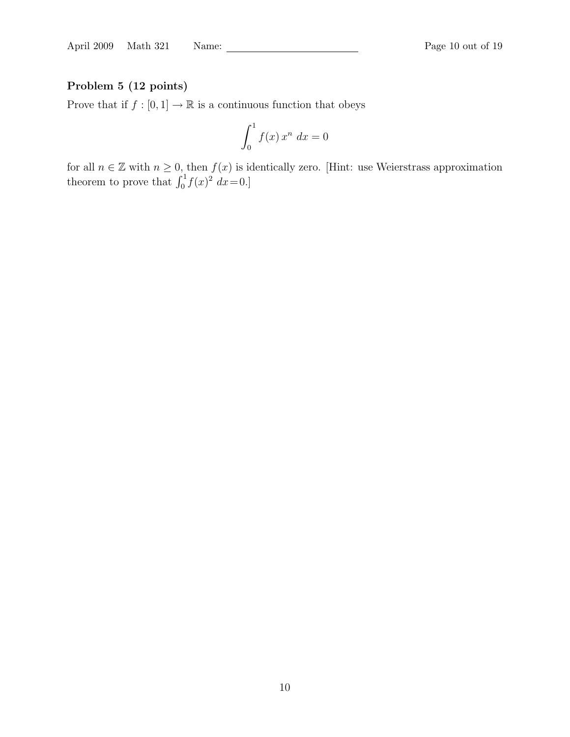# Problem 5 (12 points)

Prove that if  $f : [0,1] \to \mathbb{R}$  is a continuous function that obeys

$$
\int_0^1 f(x) x^n dx = 0
$$

for all  $n \in \mathbb{Z}$  with  $n \geq 0$ , then  $f(x)$  is identically zero. [Hint: use Weierstrass approximation theorem to prove that  $\int_0^1 f(x)^2 dx = 0$ .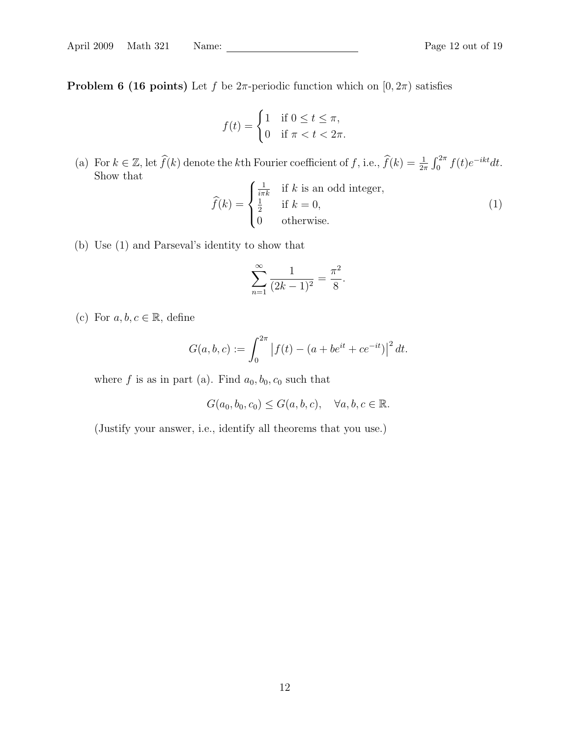**Problem 6 (16 points)** Let f be  $2\pi$ -periodic function which on  $[0, 2\pi)$  satisfies

$$
f(t) = \begin{cases} 1 & \text{if } 0 \le t \le \pi, \\ 0 & \text{if } \pi < t < 2\pi. \end{cases}
$$

(a) For  $k \in \mathbb{Z}$ , let  $\widehat{f}(k)$  denote the kth Fourier coefficient of f, i.e.,  $\widehat{f}(k) = \frac{1}{2\pi} \int_0^{2\pi} f(t)e^{-ikt}dt$ . Show that

$$
\widehat{f}(k) = \begin{cases}\n\frac{1}{i\pi k} & \text{if } k \text{ is an odd integer,} \\
\frac{1}{2} & \text{if } k = 0, \\
0 & \text{otherwise.} \n\end{cases}
$$
\n(1)

(b) Use (1) and Parseval's identity to show that

$$
\sum_{n=1}^{\infty} \frac{1}{(2k-1)^2} = \frac{\pi^2}{8}.
$$

(c) For  $a, b, c \in \mathbb{R}$ , define

$$
G(a, b, c) := \int_0^{2\pi} |f(t) - (a + be^{it} + ce^{-it})|^2 dt.
$$

where f is as in part (a). Find  $a_0, b_0, c_0$  such that

$$
G(a_0, b_0, c_0) \le G(a, b, c), \quad \forall a, b, c \in \mathbb{R}.
$$

(Justify your answer, i.e., identify all theorems that you use.)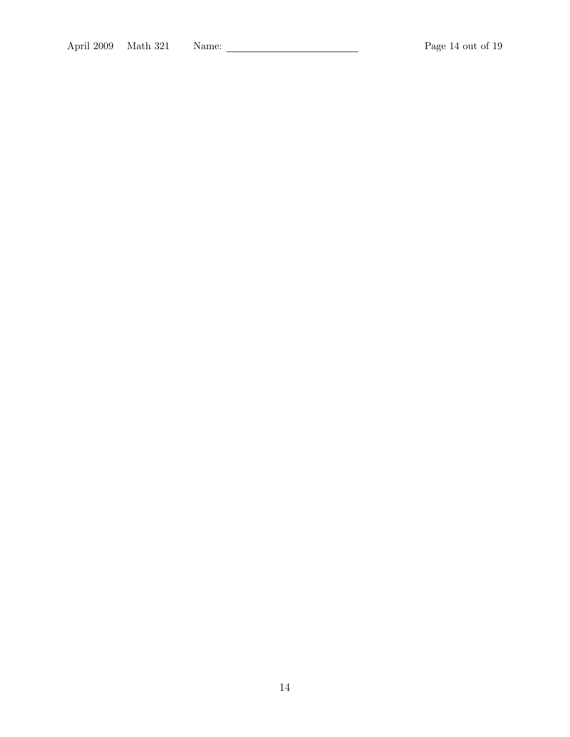April 2009 Math 321 Name: Page 14 out of 19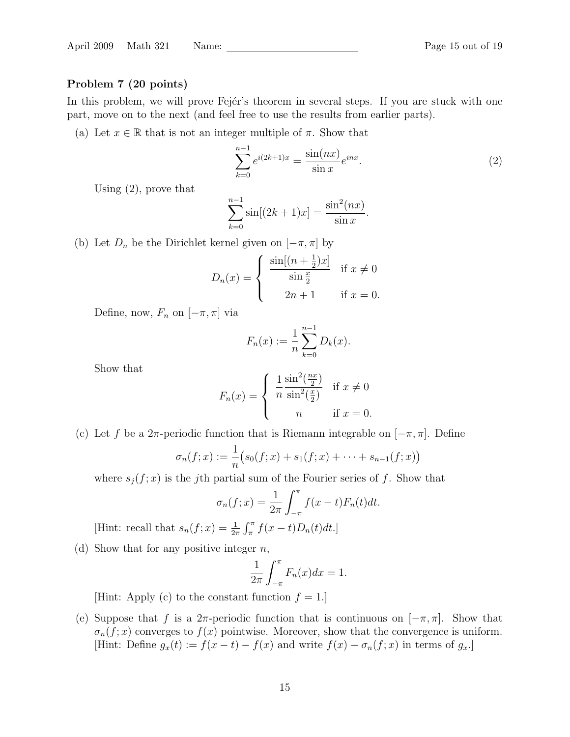#### Problem 7 (20 points)

In this problem, we will prove Fejer's theorem in several steps. If you are stuck with one part, move on to the next (and feel free to use the results from earlier parts).

(a) Let  $x \in \mathbb{R}$  that is not an integer multiple of  $\pi$ . Show that

$$
\sum_{k=0}^{n-1} e^{i(2k+1)x} = \frac{\sin(nx)}{\sin x} e^{inx}.
$$
 (2)

Using (2), prove that

$$
\sum_{k=0}^{n-1} \sin[(2k+1)x] = \frac{\sin^2(nx)}{\sin x}.
$$

(b) Let  $D_n$  be the Dirichlet kernel given on  $[-\pi, \pi]$  by

$$
D_n(x) = \begin{cases} \frac{\sin[(n + \frac{1}{2})x]}{\sin \frac{x}{2}} & \text{if } x \neq 0\\ 2n + 1 & \text{if } x = 0. \end{cases}
$$

Define, now,  $F_n$  on  $[-\pi, \pi]$  via

$$
F_n(x) := \frac{1}{n} \sum_{k=0}^{n-1} D_k(x).
$$

Show that

$$
F_n(x) = \begin{cases} \frac{1}{n} \frac{\sin^2(\frac{nx}{2})}{\sin^2(\frac{x}{2})} & \text{if } x \neq 0\\ n & \text{if } x = 0. \end{cases}
$$

(c) Let f be a 2π-periodic function that is Riemann integrable on  $[-\pi, \pi]$ . Define

$$
\sigma_n(f; x) := \frac{1}{n} \big( s_0(f; x) + s_1(f; x) + \dots + s_{n-1}(f; x) \big)
$$

where  $s_j(f; x)$  is the j<sup>th</sup> partial sum of the Fourier series of f. Show that

$$
\sigma_n(f; x) = \frac{1}{2\pi} \int_{-\pi}^{\pi} f(x - t) F_n(t) dt.
$$

[Hint: recall that  $s_n(f; x) = \frac{1}{2\pi} \int_{\pi}^{\pi} f(x - t) D_n(t) dt$ .]

(d) Show that for any positive integer  $n$ ,

$$
\frac{1}{2\pi} \int_{-\pi}^{\pi} F_n(x) dx = 1.
$$

[Hint: Apply (c) to the constant function  $f = 1$ .]

(e) Suppose that f is a 2π-periodic function that is continuous on  $[-\pi, \pi]$ . Show that  $\sigma_n(f; x)$  converges to  $f(x)$  pointwise. Moreover, show that the convergence is uniform. [Hint: Define  $g_x(t) := f(x - t) - f(x)$  and write  $f(x) - \sigma_n(f; x)$  in terms of  $g_x$ .]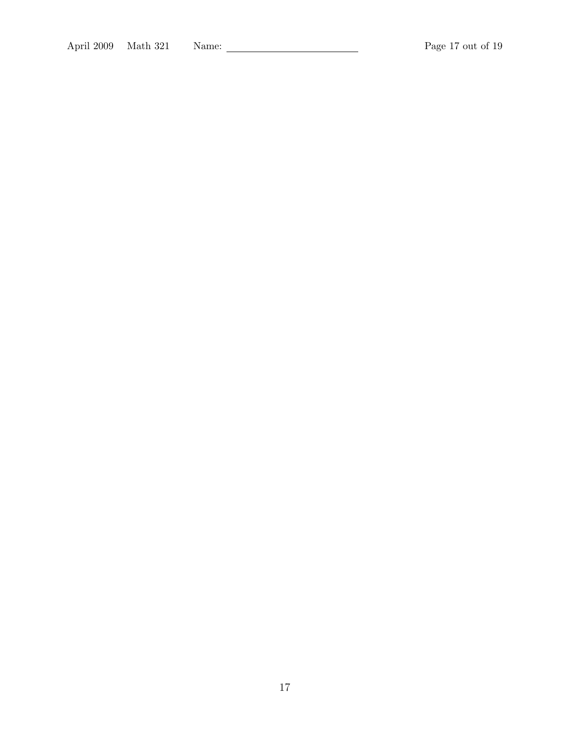April 2009 Math 321 Name: 2009 Math 321 Name: 2009 Page 17 out of 19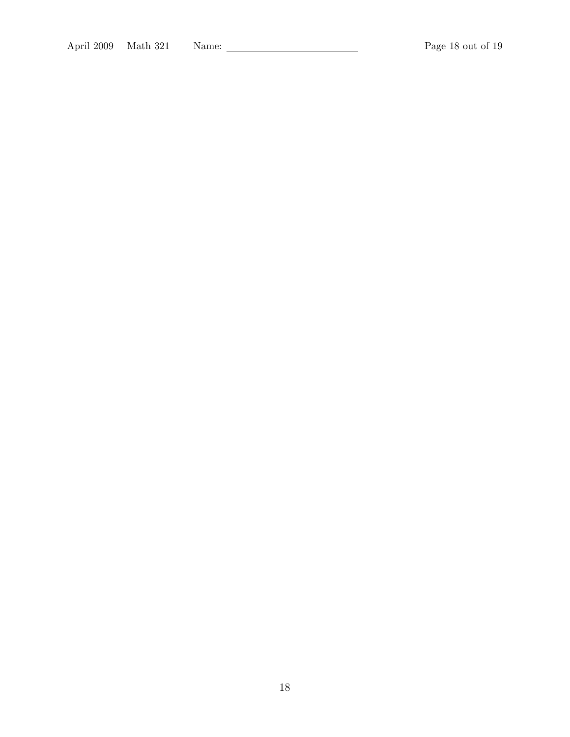April 2009 Math 321 Name: 2009 Math 321 Name: 2009 Page 18 out of 19